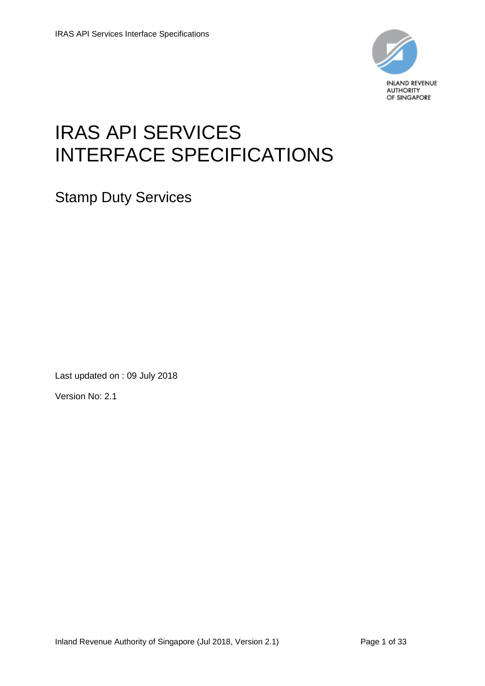

# IRAS API SERVICES INTERFACE SPECIFICATIONS

Stamp Duty Services

Last updated on : 09 July 2018

Version No: 2.1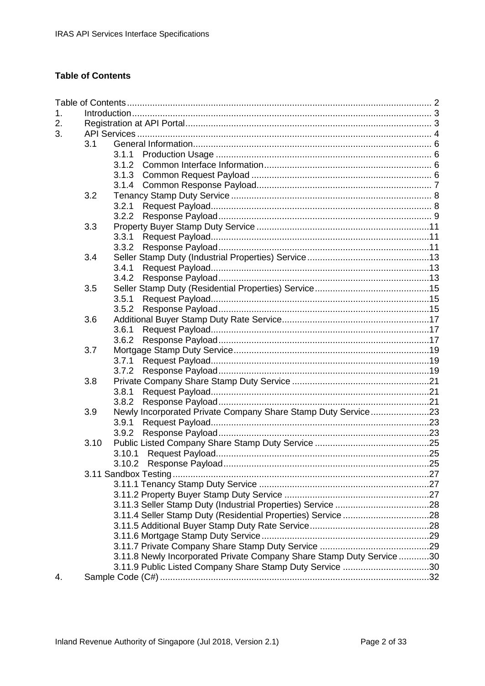# <span id="page-1-0"></span>**Table of Contents**

| 1. |      |                                                                      |  |  |  |  |
|----|------|----------------------------------------------------------------------|--|--|--|--|
| 2. |      |                                                                      |  |  |  |  |
| 3. |      |                                                                      |  |  |  |  |
|    | 3.1  |                                                                      |  |  |  |  |
|    |      | 3.1.1                                                                |  |  |  |  |
|    |      |                                                                      |  |  |  |  |
|    |      |                                                                      |  |  |  |  |
|    |      |                                                                      |  |  |  |  |
|    | 3.2  |                                                                      |  |  |  |  |
|    |      | 3.2.1                                                                |  |  |  |  |
|    |      | 3.2.2                                                                |  |  |  |  |
|    | 3.3  |                                                                      |  |  |  |  |
|    |      |                                                                      |  |  |  |  |
|    |      |                                                                      |  |  |  |  |
|    | 3.4  |                                                                      |  |  |  |  |
|    |      |                                                                      |  |  |  |  |
|    |      |                                                                      |  |  |  |  |
|    | 3.5  |                                                                      |  |  |  |  |
|    |      | 3.5.1                                                                |  |  |  |  |
|    |      | 3.5.2                                                                |  |  |  |  |
|    | 3.6  |                                                                      |  |  |  |  |
|    |      | 3.6.1                                                                |  |  |  |  |
|    |      | 3.6.2                                                                |  |  |  |  |
|    | 3.7  |                                                                      |  |  |  |  |
|    |      |                                                                      |  |  |  |  |
|    |      |                                                                      |  |  |  |  |
|    | 3.8  |                                                                      |  |  |  |  |
|    |      | 3.8.1                                                                |  |  |  |  |
|    |      | 3.8.2                                                                |  |  |  |  |
|    | 3.9  | Newly Incorporated Private Company Share Stamp Duty Service23        |  |  |  |  |
|    |      |                                                                      |  |  |  |  |
|    |      | 3.9.2                                                                |  |  |  |  |
|    | 3.10 |                                                                      |  |  |  |  |
|    |      | 3.10.1                                                               |  |  |  |  |
|    |      |                                                                      |  |  |  |  |
|    |      |                                                                      |  |  |  |  |
|    |      |                                                                      |  |  |  |  |
|    |      |                                                                      |  |  |  |  |
|    |      |                                                                      |  |  |  |  |
|    |      |                                                                      |  |  |  |  |
|    |      |                                                                      |  |  |  |  |
|    |      |                                                                      |  |  |  |  |
|    |      |                                                                      |  |  |  |  |
|    |      | 3.11.8 Newly Incorporated Private Company Share Stamp Duty Service30 |  |  |  |  |
|    |      | 3.11.9 Public Listed Company Share Stamp Duty Service 30             |  |  |  |  |
| 4. |      |                                                                      |  |  |  |  |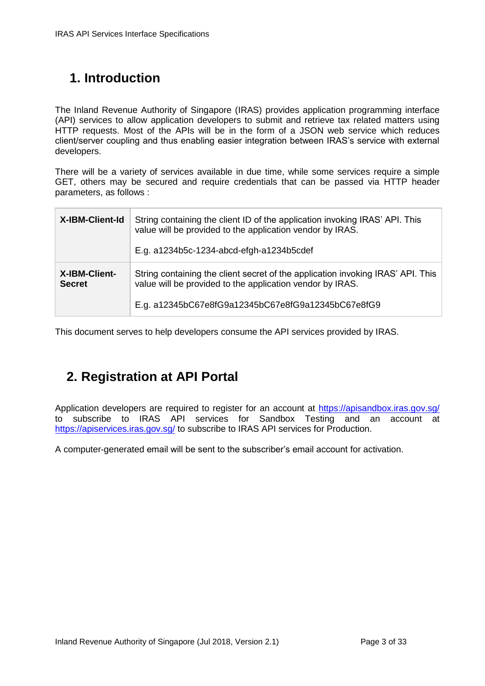# <span id="page-2-0"></span>**1. Introduction**

The Inland Revenue Authority of Singapore (IRAS) provides application programming interface (API) services to allow application developers to submit and retrieve tax related matters using HTTP requests. Most of the APIs will be in the form of a JSON web service which reduces client/server coupling and thus enabling easier integration between IRAS's service with external developers.

There will be a variety of services available in due time, while some services require a simple GET, others may be secured and require credentials that can be passed via HTTP header parameters, as follows :

| X-IBM-Client-Id                | String containing the client ID of the application invoking IRAS' API. This<br>value will be provided to the application vendor by IRAS.<br>E.g. a1234b5c-1234-abcd-efgh-a1234b5cdef               |
|--------------------------------|----------------------------------------------------------------------------------------------------------------------------------------------------------------------------------------------------|
| X-IBM-Client-<br><b>Secret</b> | String containing the client secret of the application invoking IRAS' API. This<br>value will be provided to the application vendor by IRAS.<br>E.g. a12345bC67e8fG9a12345bC67e8fG9a12345bC67e8fG9 |

This document serves to help developers consume the API services provided by IRAS.

# <span id="page-2-1"></span>**2. Registration at API Portal**

Application developers are required to register for an account at<https://apisandbox.iras.gov.sg/> to subscribe to IRAS API services for Sandbox Testing and an account at <https://apiservices.iras.gov.sg/> to subscribe to IRAS API services for Production.

A computer-generated email will be sent to the subscriber's email account for activation.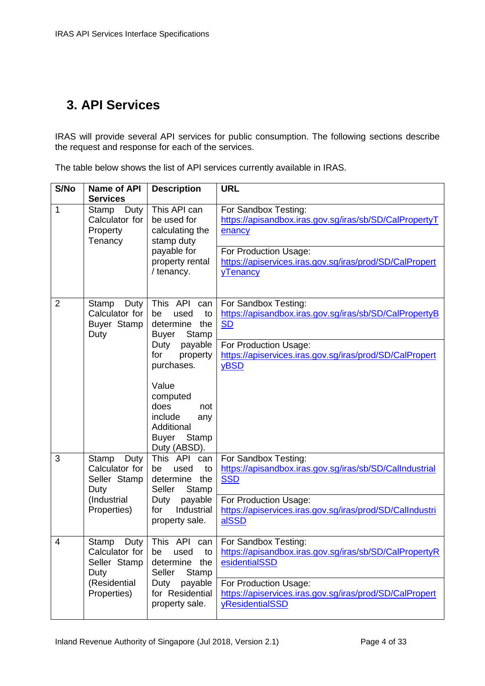# <span id="page-3-0"></span>**3. API Services**

IRAS will provide several API services for public consumption. The following sections describe the request and response for each of the services.

| S/No           | Name of API<br><b>Services</b>                          | <b>Description</b>                                                                                        | <b>URL</b>                                                                                          |
|----------------|---------------------------------------------------------|-----------------------------------------------------------------------------------------------------------|-----------------------------------------------------------------------------------------------------|
| 1              | Duty<br>Stamp<br>Calculator for<br>Property<br>Tenancy  | This API can<br>be used for<br>calculating the<br>stamp duty                                              | For Sandbox Testing:<br>https://apisandbox.iras.gov.sg/iras/sb/SD/CalPropertyT<br>enancy            |
|                |                                                         | payable for<br>property rental<br>/ tenancy.                                                              | For Production Usage:<br>https://apiservices.iras.gov.sg/iras/prod/SD/CalPropert<br><b>yTenancy</b> |
| $\overline{2}$ | Stamp<br>Duty<br>Calculator for<br>Buyer Stamp<br>Duty  | This API<br>can<br>used<br>to<br>be<br>the<br>determine<br>Stamp<br><b>Buyer</b>                          | For Sandbox Testing:<br>https://apisandbox.iras.gov.sq/iras/sb/SD/CalPropertyB<br><b>SD</b>         |
|                |                                                         | payable<br>Duty<br>for<br>property<br>purchases.                                                          | For Production Usage:<br>https://apiservices.iras.gov.sg/iras/prod/SD/CalPropert<br>yBSD            |
|                |                                                         | Value<br>computed<br>does<br>not<br>include<br>any<br>Additional<br><b>Buyer</b><br>Stamp<br>Duty (ABSD). |                                                                                                     |
| 3              | Stamp<br>Duty<br>Calculator for<br>Seller Stamp<br>Duty | This API<br>can<br>used<br>be<br>to<br>the<br>determine<br>Seller<br>Stamp                                | For Sandbox Testing:<br>https://apisandbox.iras.gov.sg/iras/sb/SD/Callndustrial<br><b>SSD</b>       |
|                | (Industrial<br>Properties)                              | payable<br>Duty<br>Industrial<br>for<br>property sale.                                                    | For Production Usage:<br>https://apiservices.iras.gov.sg/iras/prod/SD/Callndustri<br>alSSD          |
| $\overline{4}$ | Stamp<br>Duty<br>Calculator for<br>Seller Stamp<br>Duty | This API<br>can<br>used<br>to<br>be<br>the<br>determine<br>Stamp<br>Seller                                | For Sandbox Testing:<br>https://apisandbox.iras.gov.sg/iras/sb/SD/CalPropertyR<br>esidentialSSD     |
|                | (Residential<br>Properties)                             | payable<br>Duty<br>for Residential<br>property sale.                                                      | For Production Usage:<br>https://apiservices.iras.gov.sg/iras/prod/SD/CalPropert<br>yResidentialSSD |

The table below shows the list of API services currently available in IRAS.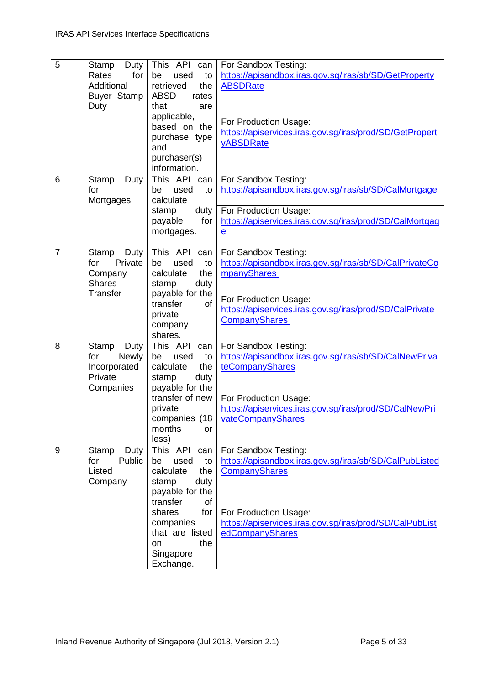| 5              | Duty<br><b>Stamp</b><br>Rates<br>for<br>Additional<br>Buyer Stamp<br>Duty    | <b>This</b><br>API<br>can<br>be<br>used<br>to<br>retrieved<br>the<br><b>ABSD</b><br>rates<br>that<br>are<br>applicable,<br>based on the<br>purchase type<br>and<br>purchaser(s)<br>information.                     | For Sandbox Testing:<br>https://apisandbox.iras.gov.sg/iras/sb/SD/GetProperty<br><b>ABSDRate</b><br>For Production Usage:<br>https://apiservices.iras.gov.sg/iras/prod/SD/GetPropert<br><b>yABSDRate</b>  |
|----------------|------------------------------------------------------------------------------|---------------------------------------------------------------------------------------------------------------------------------------------------------------------------------------------------------------------|-----------------------------------------------------------------------------------------------------------------------------------------------------------------------------------------------------------|
| 6              | Stamp<br>Duty<br>for<br>Mortgages                                            | This API<br>can<br>used<br>to<br>be<br>calculate<br>duty<br>stamp<br>for<br>payable<br>mortgages.                                                                                                                   | For Sandbox Testing:<br>https://apisandbox.iras.gov.sg/iras/sb/SD/CalMortgage<br>For Production Usage:<br>https://apiservices.iras.gov.sg/iras/prod/SD/CalMortgag<br>$\mathbf{e}$                         |
| $\overline{7}$ | Stamp<br>Duty<br>Private<br>for<br>Company<br><b>Shares</b><br>Transfer      | This API<br>can<br>be<br>used<br>to<br>calculate<br>the<br>stamp<br>duty<br>payable for the<br>transfer<br><b>of</b><br>private<br>company<br>shares.                                                               | For Sandbox Testing:<br>https://apisandbox.iras.gov.sg/iras/sb/SD/CalPrivateCo<br>mpanyShares<br>For Production Usage:<br>https://apiservices.iras.gov.sg/iras/prod/SD/CalPrivate<br><b>CompanyShares</b> |
| 8              | Stamp<br>Duty<br>for<br><b>Newly</b><br>Incorporated<br>Private<br>Companies | This API<br>can<br>used<br>to<br>be<br>calculate<br>the<br>duty<br>stamp<br>payable for the<br>transfer of new<br>private<br>companies (18<br>months<br>or<br>less)                                                 | For Sandbox Testing:<br>https://apisandbox.iras.gov.sg/iras/sb/SD/CalNewPriva<br>teCompanyShares<br>For Production Usage:<br>https://apiservices.iras.gov.sg/iras/prod/SD/CalNewPri<br>vateCompanyShares  |
| 9              | Stamp<br>Duty<br>Public<br>for<br>Listed<br>Company                          | This API<br>can<br>used<br>to<br>be<br>calculate<br>the<br>duty<br>stamp<br>payable for the<br>transfer<br><b>of</b><br>for<br>shares<br>companies<br>that are listed<br>the<br><b>on</b><br>Singapore<br>Exchange. | For Sandbox Testing:<br>https://apisandbox.iras.gov.sg/iras/sb/SD/CalPubListed<br>CompanyShares<br>For Production Usage:<br>https://apiservices.iras.gov.sg/iras/prod/SD/CalPubList<br>edCompanyShares    |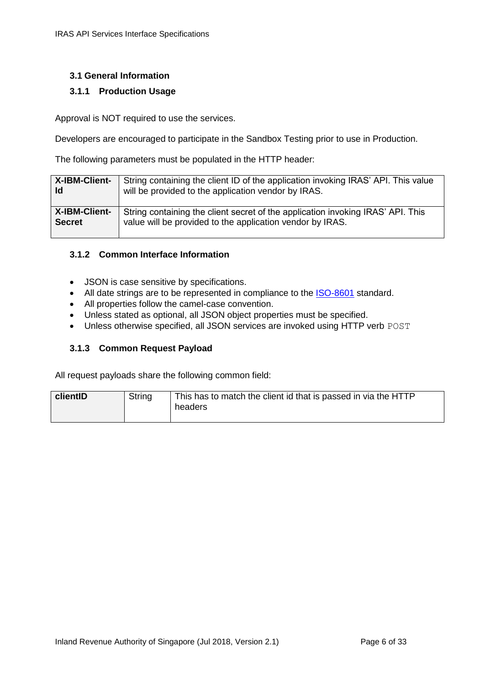#### <span id="page-5-0"></span>**3.1 General Information**

#### <span id="page-5-1"></span>**3.1.1 Production Usage**

Approval is NOT required to use the services.

Developers are encouraged to participate in the Sandbox Testing prior to use in Production.

The following parameters must be populated in the HTTP header:

| X-IBM-Client-        | String containing the client ID of the application invoking IRAS' API. This value |
|----------------------|-----------------------------------------------------------------------------------|
| Id                   | will be provided to the application vendor by IRAS.                               |
| <b>X-IBM-Client-</b> | String containing the client secret of the application invoking IRAS' API. This   |
| <b>Secret</b>        | value will be provided to the application vendor by IRAS.                         |

#### <span id="page-5-2"></span>**3.1.2 Common Interface Information**

- JSON is case sensitive by specifications.
- All date strings are to be represented in compliance to the **[ISO-8601](https://www.w3.org/TR/NOTE-datetime)** standard.
- All properties follow the camel-case convention.
- Unless stated as optional, all JSON object properties must be specified.
- Unless otherwise specified, all JSON services are invoked using HTTP verb POST

#### <span id="page-5-3"></span>**3.1.3 Common Request Payload**

All request payloads share the following common field:

<span id="page-5-4"></span>

| clientID | String | This has to match the client id that is passed in via the HTTP<br>headers |
|----------|--------|---------------------------------------------------------------------------|
|          |        |                                                                           |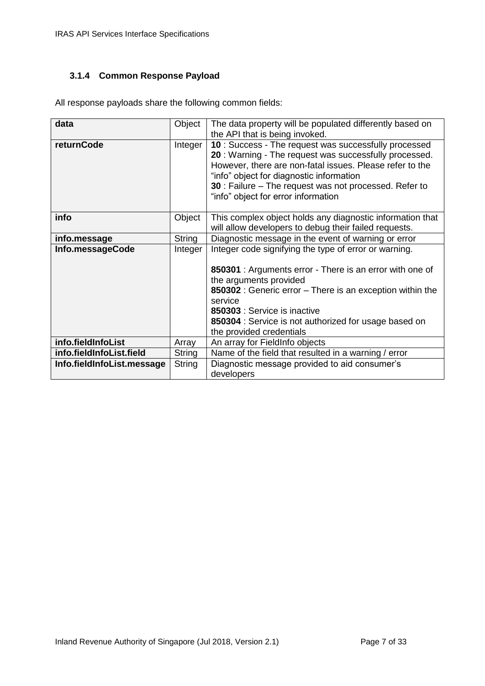#### <span id="page-6-0"></span>**3.1.4 Common Response Payload**

All response payloads share the following common fields:

| data                       | Object  | The data property will be populated differently based on                                                                                                                                                                                                                                                                |
|----------------------------|---------|-------------------------------------------------------------------------------------------------------------------------------------------------------------------------------------------------------------------------------------------------------------------------------------------------------------------------|
|                            |         | the API that is being invoked.                                                                                                                                                                                                                                                                                          |
| <b>returnCode</b>          | Integer | 10 : Success - The request was successfully processed<br>20: Warning - The request was successfully processed.<br>However, there are non-fatal issues. Please refer to the<br>"info" object for diagnostic information<br>30 : Failure – The request was not processed. Refer to<br>"info" object for error information |
| info                       | Object  | This complex object holds any diagnostic information that<br>will allow developers to debug their failed requests.                                                                                                                                                                                                      |
| info.message               | String  | Diagnostic message in the event of warning or error                                                                                                                                                                                                                                                                     |
| Info.messageCode           | Integer | Integer code signifying the type of error or warning.<br>850301 : Arguments error - There is an error with one of<br>the arguments provided<br>850302 : Generic error - There is an exception within the<br>service<br>850303 : Service is inactive<br>850304 : Service is not authorized for usage based on            |
|                            |         | the provided credentials                                                                                                                                                                                                                                                                                                |
| info.fieldInfoList         | Array   | An array for FieldInfo objects                                                                                                                                                                                                                                                                                          |
| info.fieldInfoList.field   | String  | Name of the field that resulted in a warning / error                                                                                                                                                                                                                                                                    |
| Info.fieldInfoList.message | String  | Diagnostic message provided to aid consumer's<br>developers                                                                                                                                                                                                                                                             |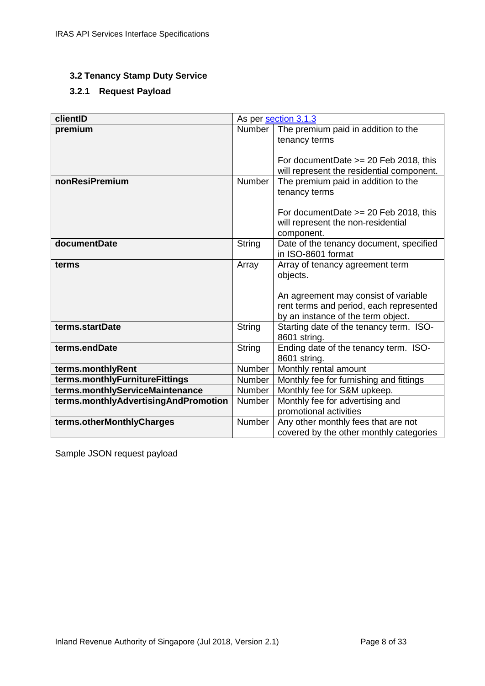#### <span id="page-7-0"></span>**3.2 Tenancy Stamp Duty Service**

# <span id="page-7-1"></span>**3.2.1 Request Payload**

| clientID                             |               | As per section 3.1.3                                                                  |
|--------------------------------------|---------------|---------------------------------------------------------------------------------------|
| premium                              | <b>Number</b> | The premium paid in addition to the                                                   |
|                                      |               | tenancy terms                                                                         |
|                                      |               |                                                                                       |
|                                      |               | For document Date $>= 20$ Feb 2018, this<br>will represent the residential component. |
| nonResiPremium                       | Number        | The premium paid in addition to the                                                   |
|                                      |               | tenancy terms                                                                         |
|                                      |               |                                                                                       |
|                                      |               | For document Date $>= 20$ Feb 2018, this                                              |
|                                      |               | will represent the non-residential                                                    |
| documentDate                         |               | component.                                                                            |
|                                      | String        | Date of the tenancy document, specified<br>in ISO-8601 format                         |
| terms                                | Array         | Array of tenancy agreement term                                                       |
|                                      |               | objects.                                                                              |
|                                      |               |                                                                                       |
|                                      |               | An agreement may consist of variable                                                  |
|                                      |               | rent terms and period, each represented                                               |
|                                      |               | by an instance of the term object.                                                    |
| terms.startDate                      | String        | Starting date of the tenancy term. ISO-<br>8601 string.                               |
| terms.endDate                        | String        | Ending date of the tenancy term. ISO-                                                 |
|                                      |               | 8601 string.                                                                          |
| terms.monthlyRent                    | Number        | Monthly rental amount                                                                 |
| terms.monthlyFurnitureFittings       | Number        | Monthly fee for furnishing and fittings                                               |
| terms.monthlyServiceMaintenance      | Number        | Monthly fee for S&M upkeep.                                                           |
| terms.monthlyAdvertisingAndPromotion | Number        | Monthly fee for advertising and                                                       |
|                                      |               | promotional activities                                                                |
| terms.otherMonthlyCharges            | Number        | Any other monthly fees that are not                                                   |
|                                      |               | covered by the other monthly categories                                               |

Sample JSON request payload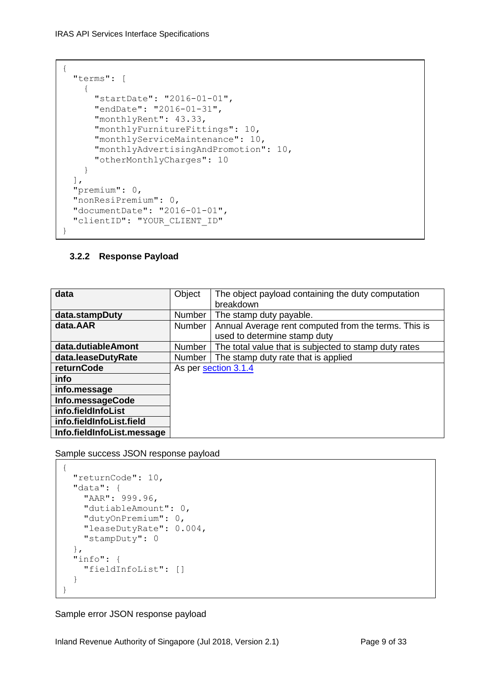```
{
   "terms": [
     {
       "startDate": "2016-01-01",
       "endDate": "2016-01-31",
       "monthlyRent": 43.33,
       "monthlyFurnitureFittings": 10,
       "monthlyServiceMaintenance": 10,
       "monthlyAdvertisingAndPromotion": 10,
       "otherMonthlyCharges": 10
     }
 \vert,
   "premium": 0,
   "nonResiPremium": 0,
   "documentDate": "2016-01-01",
   "clientID": "YOUR_CLIENT_ID"
}
```
### <span id="page-8-0"></span>**3.2.2 Response Payload**

| data                       | Object | The object payload containing the duty computation<br>breakdown                      |
|----------------------------|--------|--------------------------------------------------------------------------------------|
| data.stampDuty             | Number | The stamp duty payable.                                                              |
| data.AAR                   | Number | Annual Average rent computed from the terms. This is<br>used to determine stamp duty |
| data.dutiableAmont         | Number | The total value that is subjected to stamp duty rates                                |
| data.leaseDutyRate         | Number | The stamp duty rate that is applied                                                  |
| returnCode                 |        | As per section 3.1.4                                                                 |
| info                       |        |                                                                                      |
| info.message               |        |                                                                                      |
| Info.messageCode           |        |                                                                                      |
| info.fieldInfoList         |        |                                                                                      |
| info.fieldInfoList.field   |        |                                                                                      |
| Info.fieldInfoList.message |        |                                                                                      |

Sample success JSON response payload

```
{
   "returnCode": 10,
   "data": {
    "AAR": 999.96,
     "dutiableAmount": 0,
     "dutyOnPremium": 0,
     "leaseDutyRate": 0.004,
     "stampDuty": 0
   },
   "info": {
    "fieldInfoList": []
   }
}
```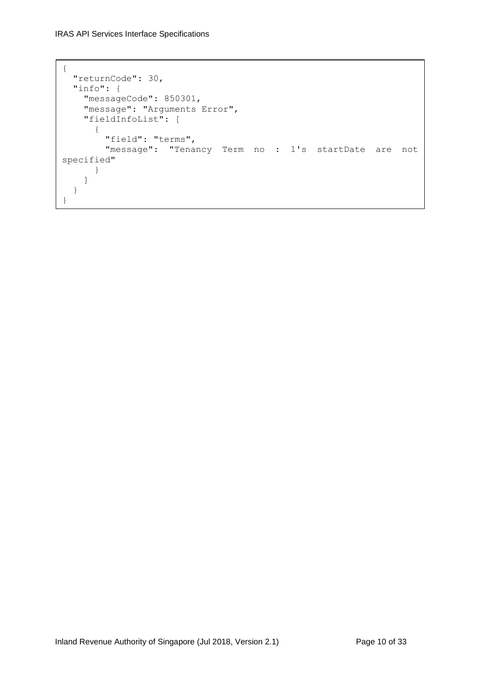```
{
  "returnCode": 30,
  "info": {
    "messageCode": 850301,
"message": "Arguments Error",
 "fieldInfoList": [
      {
         "field": "terms",
         "message": "Tenancy Term no : 1's startDate are not 
specified"
     }
    ]
  }
}
```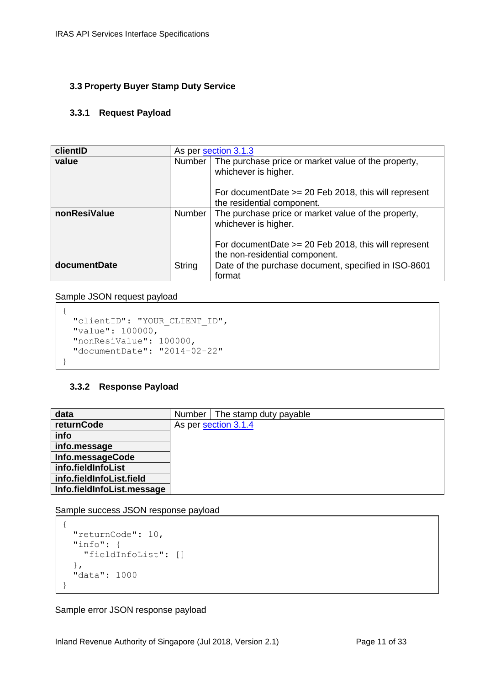#### <span id="page-10-0"></span>**3.3 Property Buyer Stamp Duty Service**

#### <span id="page-10-1"></span>**3.3.1 Request Payload**

| clientID     |               | As per section 3.1.3                                                                      |
|--------------|---------------|-------------------------------------------------------------------------------------------|
| value        | Number        | The purchase price or market value of the property,<br>whichever is higher.               |
|              |               | For document Date $>= 20$ Feb 2018, this will represent<br>the residential component.     |
| nonResiValue | Number        | The purchase price or market value of the property,<br>whichever is higher.               |
|              |               | For document Date $>= 20$ Feb 2018, this will represent<br>the non-residential component. |
| documentDate | <b>String</b> | Date of the purchase document, specified in ISO-8601<br>format                            |

Sample JSON request payload

```
{
  "clientID": "YOUR_CLIENT_ID",
  "value": 100000,
  "nonResiValue": 100000,
  "documentDate": "2014-02-22"
}
```
#### <span id="page-10-2"></span>**3.3.2 Response Payload**

| data                       | Number   The stamp duty payable |
|----------------------------|---------------------------------|
| returnCode                 | As per section 3.1.4            |
| info                       |                                 |
| info.message               |                                 |
| Info.messageCode           |                                 |
| info.fieldInfoList         |                                 |
| info.fieldInfoList.field   |                                 |
| Info.fieldInfoList.message |                                 |

Sample success JSON response payload

```
{
   "returnCode": 10,
   "info": {
     "fieldInfoList": []
  },
   "data": 1000
}
```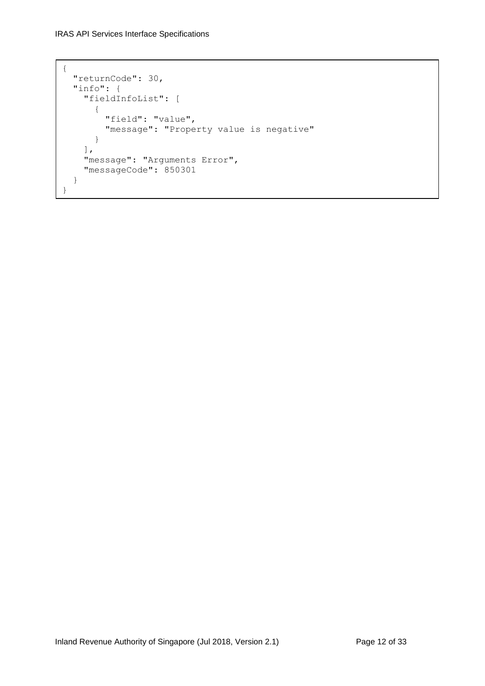```
{
   "returnCode": 30,
   "info": {
     "fieldInfoList": [
       {
         "field": "value",
         "message": "Property value is negative"
       }
     ],
     "message": "Arguments Error",
     "messageCode": 850301
   }
}
```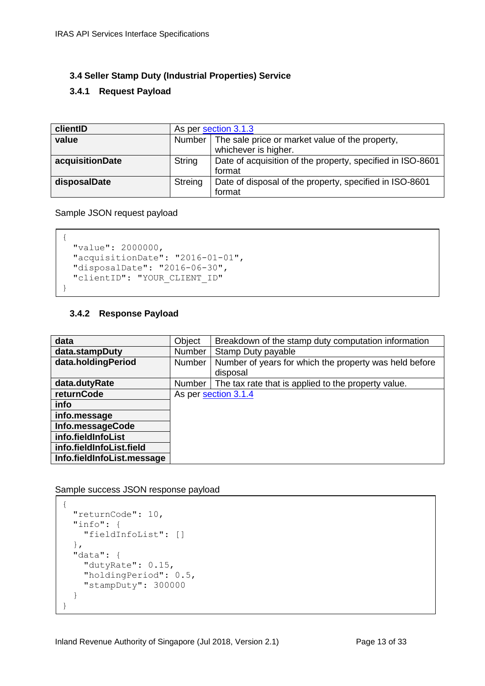#### <span id="page-12-0"></span>**3.4 Seller Stamp Duty (Industrial Properties) Service**

#### <span id="page-12-1"></span>**3.4.1 Request Payload**

| clientID        | As per section 3.1.3 |                                                            |  |
|-----------------|----------------------|------------------------------------------------------------|--|
| value           |                      | Number   The sale price or market value of the property,   |  |
|                 |                      | whichever is higher.                                       |  |
| acquisitionDate | String               | Date of acquisition of the property, specified in ISO-8601 |  |
|                 |                      | format                                                     |  |
| disposalDate    | Streing              | Date of disposal of the property, specified in ISO-8601    |  |
|                 |                      | format                                                     |  |

Sample JSON request payload

```
{
 "value": 2000000,
  "acquisitionDate": "2016-01-01",
  "disposalDate": "2016-06-30",
  "clientID": "YOUR_CLIENT_ID"
}
```
#### <span id="page-12-2"></span>**3.4.2 Response Payload**

| data                       | Object        | Breakdown of the stamp duty computation information    |
|----------------------------|---------------|--------------------------------------------------------|
| data.stampDuty             | <b>Number</b> | Stamp Duty payable                                     |
| data.holdingPeriod         | <b>Number</b> | Number of years for which the property was held before |
|                            |               | disposal                                               |
| data.dutyRate              | Number        | The tax rate that is applied to the property value.    |
| returnCode                 |               | As per section 3.1.4                                   |
| info                       |               |                                                        |
| info.message               |               |                                                        |
| Info.messageCode           |               |                                                        |
| info.fieldInfoList         |               |                                                        |
| info.fieldInfoList.field   |               |                                                        |
| Info.fieldInfoList.message |               |                                                        |

Sample success JSON response payload

```
{
   "returnCode": 10,
   "info": {
     "fieldInfoList": []
   },
   "data": {
     "dutyRate": 0.15,
     "holdingPeriod": 0.5,
     "stampDuty": 300000
   }
}
```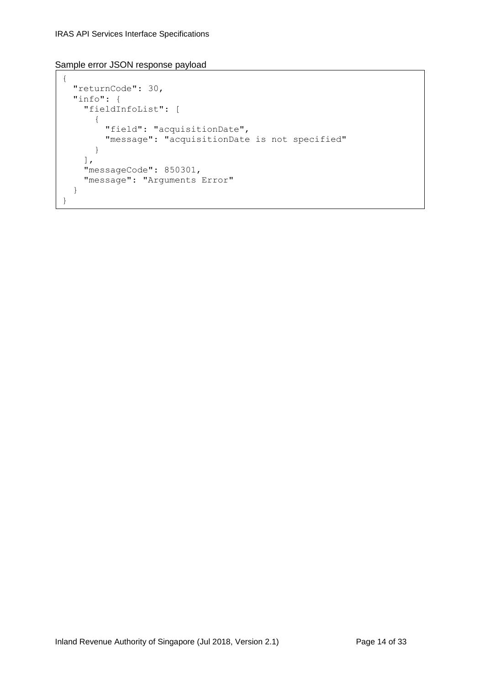```
{
   "returnCode": 30,
   "info": {
     "fieldInfoList": [
       {
         "field": "acquisitionDate",
         "message": "acquisitionDate is not specified"
       }
     ],
     "messageCode": 850301,
     "message": "Arguments Error"
   }
}
```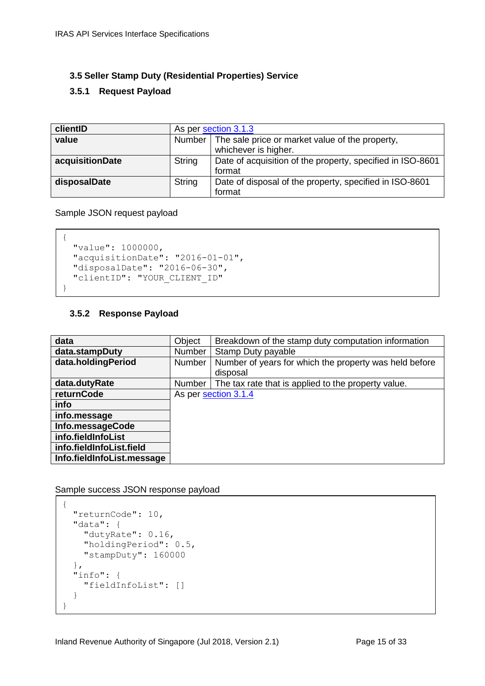#### <span id="page-14-0"></span>**3.5 Seller Stamp Duty (Residential Properties) Service**

#### <span id="page-14-1"></span>**3.5.1 Request Payload**

| clientID        | As per section 3.1.3                                                 |                                                         |
|-----------------|----------------------------------------------------------------------|---------------------------------------------------------|
| value           | Number   The sale price or market value of the property,             |                                                         |
|                 |                                                                      | whichever is higher.                                    |
| acquisitionDate | String<br>Date of acquisition of the property, specified in ISO-8601 |                                                         |
|                 |                                                                      | format                                                  |
| disposalDate    | String                                                               | Date of disposal of the property, specified in ISO-8601 |
|                 |                                                                      | format                                                  |

Sample JSON request payload

```
{
 "value": 1000000,
  "acquisitionDate": "2016-01-01",
  "disposalDate": "2016-06-30",
  "clientID": "YOUR_CLIENT_ID"
}
```
#### <span id="page-14-2"></span>**3.5.2 Response Payload**

| data                       | Object        | Breakdown of the stamp duty computation information    |
|----------------------------|---------------|--------------------------------------------------------|
| data.stampDuty             | <b>Number</b> | Stamp Duty payable                                     |
| data.holdingPeriod         | Number        | Number of years for which the property was held before |
|                            |               | disposal                                               |
| data.dutyRate              | Number        | The tax rate that is applied to the property value.    |
| returnCode                 |               | As per section 3.1.4                                   |
| info                       |               |                                                        |
| info.message               |               |                                                        |
| Info.messageCode           |               |                                                        |
| info.fieldInfoList         |               |                                                        |
| info.fieldInfoList.field   |               |                                                        |
| Info.fieldInfoList.message |               |                                                        |

Sample success JSON response payload

```
{
   "returnCode": 10,
   "data": {
    "dutyRate": 0.16,
     "holdingPeriod": 0.5,
    "stampDuty": 160000
  },
   "info": {
    "fieldInfoList": []
   }
}
```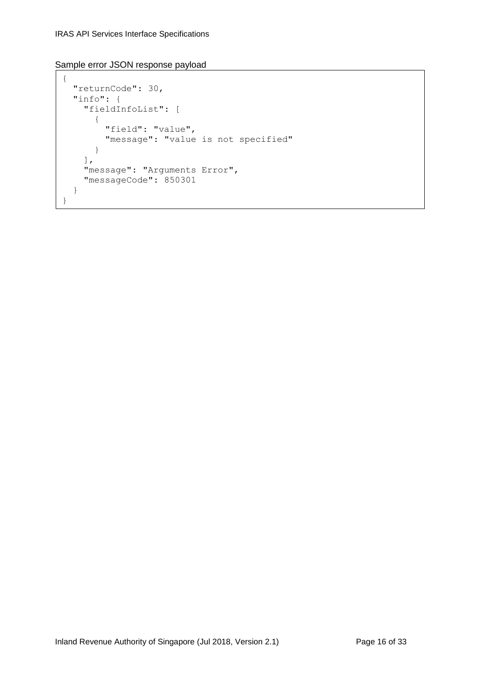```
{
   "returnCode": 30,
   "info": {
     "fieldInfoList": [
       {
         "field": "value",
         "message": "value is not specified"
       }
     ],
     "message": "Arguments Error",
     "messageCode": 850301
   }
}
```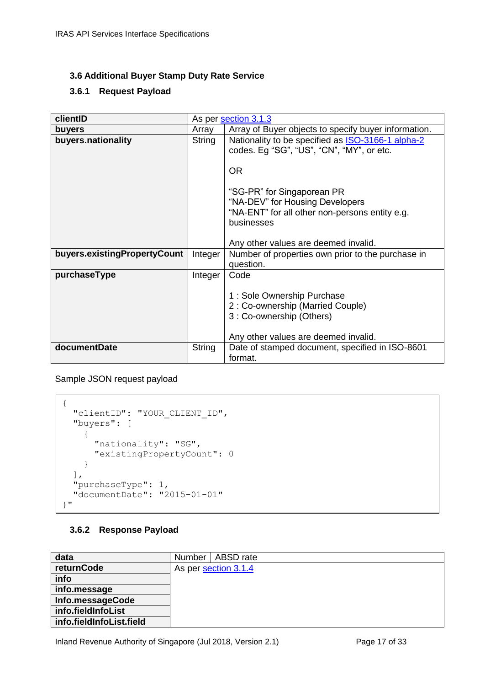#### <span id="page-16-0"></span>**3.6 Additional Buyer Stamp Duty Rate Service**

#### <span id="page-16-1"></span>**3.6.1 Request Payload**

| clientID                     |         | As per section 3.1.3                                                                                  |
|------------------------------|---------|-------------------------------------------------------------------------------------------------------|
| buyers                       | Array   | Array of Buyer objects to specify buyer information.                                                  |
| buyers.nationality           | String  | Nationality to be specified as <b>ISO-3166-1</b> alpha-2<br>codes. Eg "SG", "US", "CN", "MY", or etc. |
|                              |         | <b>OR</b>                                                                                             |
|                              |         | "SG-PR" for Singaporean PR<br>"NA-DEV" for Housing Developers                                         |
|                              |         | "NA-ENT" for all other non-persons entity e.g.                                                        |
|                              |         | businesses                                                                                            |
|                              |         | Any other values are deemed invalid.                                                                  |
| buyers.existingPropertyCount | Integer | Number of properties own prior to the purchase in<br>question.                                        |
| purchaseType                 | Integer | Code                                                                                                  |
|                              |         | 1: Sole Ownership Purchase<br>2: Co-ownership (Married Couple)<br>3: Co-ownership (Others)            |
|                              |         | Any other values are deemed invalid.                                                                  |
| documentDate                 | String  | Date of stamped document, specified in ISO-8601<br>format.                                            |

Sample JSON request payload

```
{
   "clientID": "YOUR_CLIENT_ID",
   "buyers": [
     {
       "nationality": "SG",
       "existingPropertyCount": 0
     }
  \frac{1}{\sqrt{2}} "purchaseType": 1,
   "documentDate": "2015-01-01"
}"
```
#### <span id="page-16-2"></span>**3.6.2 Response Payload**

| data                     | Number   ABSD rate   |  |  |
|--------------------------|----------------------|--|--|
| returnCode               | As per section 3.1.4 |  |  |
| info                     |                      |  |  |
| info.message             |                      |  |  |
| Info.messageCode         |                      |  |  |
| info.fieldInfoList       |                      |  |  |
| info.fieldInfoList.field |                      |  |  |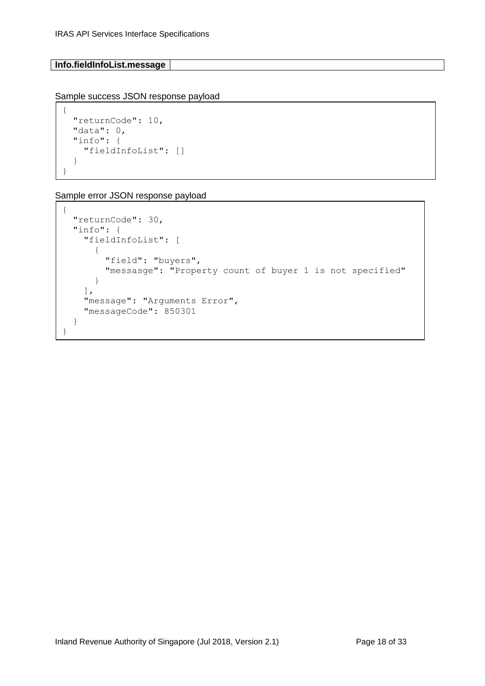#### **Info.fieldInfoList.message**

Sample success JSON response payload

```
{
   "returnCode": 10,
   "data": 0,
   "info": {
     "fieldInfoList": []
   }
}
```

```
{
   "returnCode": 30,
   "info": {
     "fieldInfoList": [
       {
         "field": "buyers",
         "messasge": "Property count of buyer 1 is not specified"
       }
     ],
     "message": "Arguments Error",
     "messageCode": 850301
   }
}
```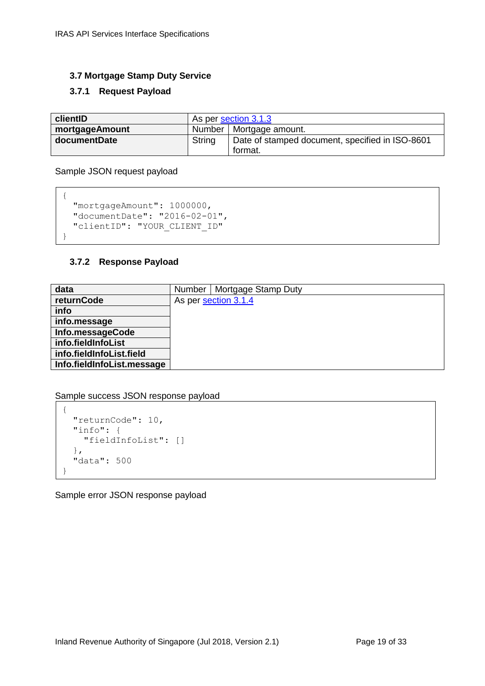#### <span id="page-18-0"></span>**3.7 Mortgage Stamp Duty Service**

#### <span id="page-18-1"></span>**3.7.1 Request Payload**

| clientID       | As per section 3.1.3      |                                                            |  |
|----------------|---------------------------|------------------------------------------------------------|--|
| mortgageAmount | Number   Mortgage amount. |                                                            |  |
| documentDate   | String                    | Date of stamped document, specified in ISO-8601<br>format. |  |

Sample JSON request payload

```
{
  "mortgageAmount": 1000000,
  "documentDate": "2016-02-01",
  "clientID": "YOUR_CLIENT_ID"
}
```
# <span id="page-18-2"></span>**3.7.2 Response Payload**

| data                       | Mortgage Stamp Duty<br>Number |
|----------------------------|-------------------------------|
| returnCode                 | As per section 3.1.4          |
| info                       |                               |
| info.message               |                               |
| Info.messageCode           |                               |
| info.fieldInfoList         |                               |
| info.fieldInfoList.field   |                               |
| Info.fieldInfoList.message |                               |

Sample success JSON response payload

```
{
   "returnCode": 10,
   "info": {
    "fieldInfoList": []
  },
   "data": 500
}
```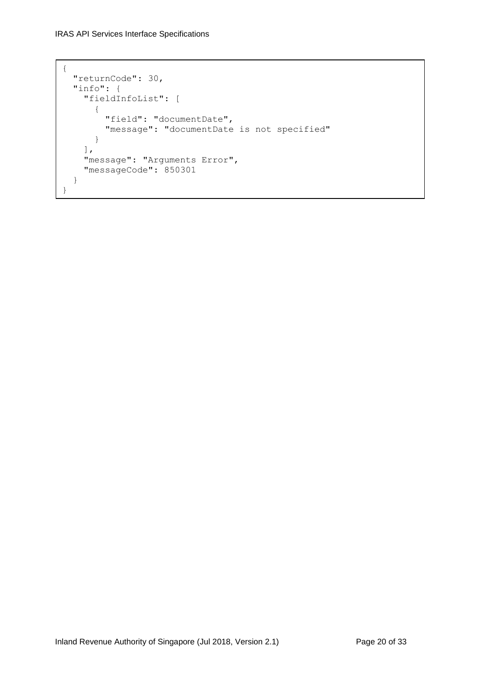```
{
   "returnCode": 30,
   "info": {
     "fieldInfoList": [
       {
         "field": "documentDate",
         "message": "documentDate is not specified"
       }
     ],
     "message": "Arguments Error",
     "messageCode": 850301
   }
}
```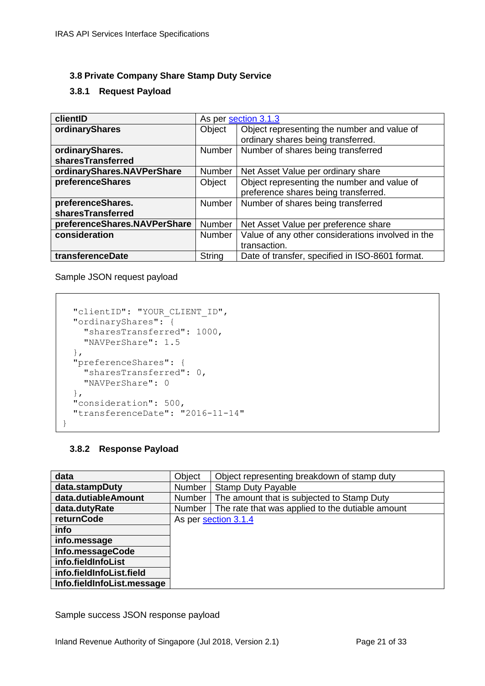#### <span id="page-20-0"></span>**3.8 Private Company Share Stamp Duty Service**

#### <span id="page-20-1"></span>**3.8.1 Request Payload**

| clientID                     | As per section 3.1.3 |                                                   |  |
|------------------------------|----------------------|---------------------------------------------------|--|
| ordinaryShares               | Object               | Object representing the number and value of       |  |
|                              |                      | ordinary shares being transferred.                |  |
| ordinaryShares.              | Number               | Number of shares being transferred                |  |
| sharesTransferred            |                      |                                                   |  |
| ordinaryShares.NAVPerShare   | <b>Number</b>        | Net Asset Value per ordinary share                |  |
| preferenceShares             | Object               | Object representing the number and value of       |  |
|                              |                      | preference shares being transferred.              |  |
| preferenceShares.            | <b>Number</b>        | Number of shares being transferred                |  |
| sharesTransferred            |                      |                                                   |  |
| preferenceShares.NAVPerShare | <b>Number</b>        | Net Asset Value per preference share              |  |
| consideration                | <b>Number</b>        | Value of any other considerations involved in the |  |
|                              |                      | transaction.                                      |  |
| transferenceDate             | <b>String</b>        | Date of transfer, specified in ISO-8601 format.   |  |

Sample JSON request payload

```
 "clientID": "YOUR_CLIENT_ID",
  "ordinaryShares": {
    "sharesTransferred": 1000,
    "NAVPerShare": 1.5
  },
  "preferenceShares": {
    "sharesTransferred": 0,
    "NAVPerShare": 0
  },
  "consideration": 500,
  "transferenceDate": "2016-11-14"
}
```
#### <span id="page-20-2"></span>**3.8.2 Response Payload**

| data                       | Object | Object representing breakdown of stamp duty      |
|----------------------------|--------|--------------------------------------------------|
| data.stampDuty             | Number | <b>Stamp Duty Payable</b>                        |
| data.dutiableAmount        | Number | The amount that is subjected to Stamp Duty       |
| data.dutyRate              | Number | The rate that was applied to the dutiable amount |
| returnCode                 |        | As per section 3.1.4                             |
| info                       |        |                                                  |
| info.message               |        |                                                  |
| Info.messageCode           |        |                                                  |
| info.fieldInfoList         |        |                                                  |
| info.fieldInfoList.field   |        |                                                  |
| Info.fieldInfoList.message |        |                                                  |

Sample success JSON response payload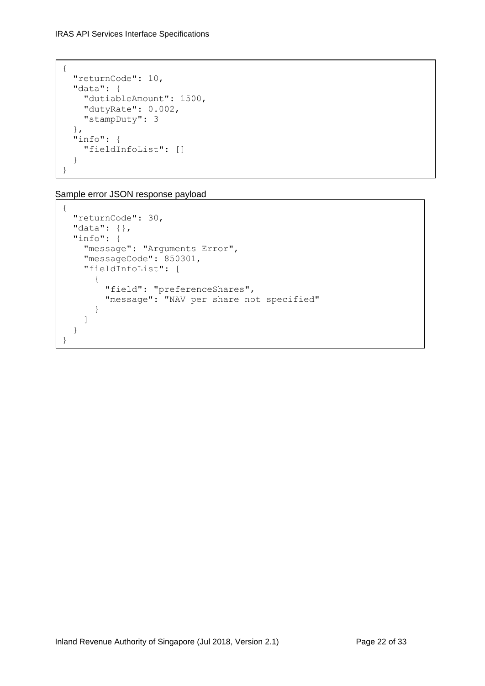```
{
  "returnCode": 10,
  "data": {
    "dutiableAmount": 1500,
    "dutyRate": 0.002,
    "stampDuty": 3
  },
   "info": {
     "fieldInfoList": []
   }
}
```

```
{
   "returnCode": 30,
   "data": {},
   "info": {
     "message": "Arguments Error",
     "messageCode": 850301,
     "fieldInfoList": [
       {
         "field": "preferenceShares",
         "message": "NAV per share not specified"
       }
     ]
   }
}
```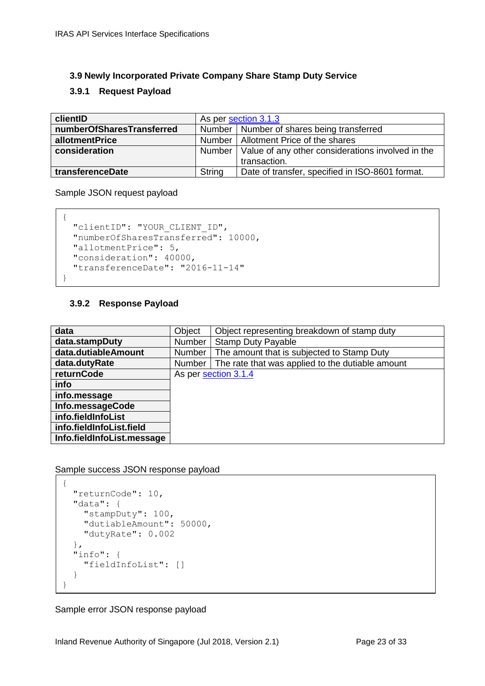#### <span id="page-22-0"></span>**3.9 Newly Incorporated Private Company Share Stamp Duty Service**

#### <span id="page-22-1"></span>**3.9.1 Request Payload**

| clientID                  | As per section 3.1.3                                       |                                                 |  |  |
|---------------------------|------------------------------------------------------------|-------------------------------------------------|--|--|
| numberOfSharesTransferred |                                                            | Number   Number of shares being transferred     |  |  |
| allotmentPrice            |                                                            | Number   Allotment Price of the shares          |  |  |
| consideration             | Number   Value of any other considerations involved in the |                                                 |  |  |
|                           |                                                            | transaction.                                    |  |  |
| transferenceDate          | String                                                     | Date of transfer, specified in ISO-8601 format. |  |  |

Sample JSON request payload

```
{
 "clientID": "YOUR CLIENT ID",
  "numberOfSharesTransferred": 10000,
  "allotmentPrice": 5,
  "consideration": 40000,
  "transferenceDate": "2016-11-14"
}
```
#### <span id="page-22-2"></span>**3.9.2 Response Payload**

| data<br>Object representing breakdown of stamp duty<br>data.stampDuty<br>Number<br><b>Stamp Duty Payable</b><br>data.dutiableAmount<br>The amount that is subjected to Stamp Duty<br>Number<br>The rate that was applied to the dutiable amount<br>data.dutyRate<br>Number<br>returnCode<br>As per section 3.1.4<br>info<br>info.message<br>Info.messageCode<br>info.fieldInfoList<br>info.fieldInfoList.field<br>Info.fieldInfoList.message |        |  |
|----------------------------------------------------------------------------------------------------------------------------------------------------------------------------------------------------------------------------------------------------------------------------------------------------------------------------------------------------------------------------------------------------------------------------------------------|--------|--|
|                                                                                                                                                                                                                                                                                                                                                                                                                                              | Object |  |
|                                                                                                                                                                                                                                                                                                                                                                                                                                              |        |  |
|                                                                                                                                                                                                                                                                                                                                                                                                                                              |        |  |
|                                                                                                                                                                                                                                                                                                                                                                                                                                              |        |  |
|                                                                                                                                                                                                                                                                                                                                                                                                                                              |        |  |
|                                                                                                                                                                                                                                                                                                                                                                                                                                              |        |  |
|                                                                                                                                                                                                                                                                                                                                                                                                                                              |        |  |
|                                                                                                                                                                                                                                                                                                                                                                                                                                              |        |  |
|                                                                                                                                                                                                                                                                                                                                                                                                                                              |        |  |
|                                                                                                                                                                                                                                                                                                                                                                                                                                              |        |  |
|                                                                                                                                                                                                                                                                                                                                                                                                                                              |        |  |

Sample success JSON response payload

```
{
   "returnCode": 10,
   "data": {
     "stampDuty": 100,
     "dutiableAmount": 50000,
     "dutyRate": 0.002
  },
   "info": {
     "fieldInfoList": []
   }
}
```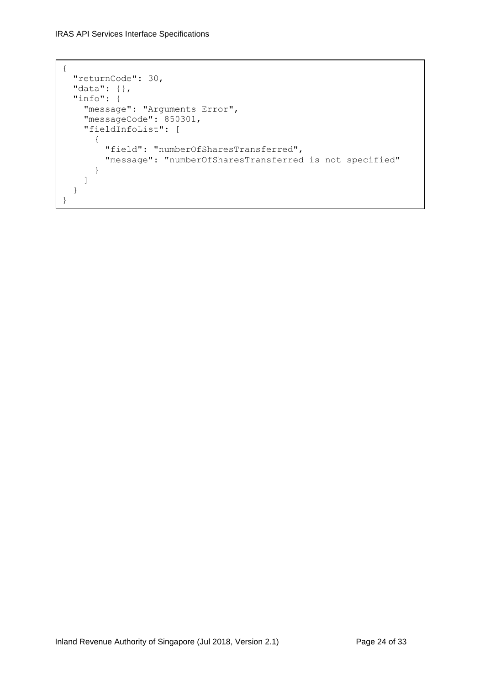IRAS API Services Interface Specifications

```
{
  "returnCode": 30,
  "data": {},
  "info": {
    "message": "Arguments Error",
     "messageCode": 850301,
     "fieldInfoList": [
       {
         "field": "numberOfSharesTransferred",
         "message": "numberOfSharesTransferred is not specified"
       }
     ]
  }
}
```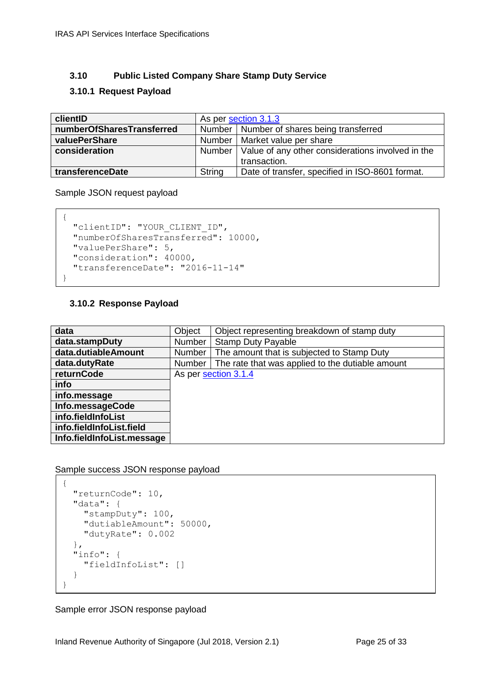#### <span id="page-24-0"></span>**3.10 Public Listed Company Share Stamp Duty Service**

#### <span id="page-24-1"></span>**3.10.1 Request Payload**

| clientID                  | As per section 3.1.3                                       |                                                 |  |
|---------------------------|------------------------------------------------------------|-------------------------------------------------|--|
| numberOfSharesTransferred |                                                            | Number   Number of shares being transferred     |  |
| valuePerShare             |                                                            | Number   Market value per share                 |  |
| consideration             | Number   Value of any other considerations involved in the |                                                 |  |
|                           |                                                            | transaction.                                    |  |
| transferenceDate          | <b>String</b>                                              | Date of transfer, specified in ISO-8601 format. |  |

Sample JSON request payload

```
{
 "clientID": "YOUR CLIENT ID",
  "numberOfSharesTransferred": 10000,
  "valuePerShare": 5,
  "consideration": 40000,
  "transferenceDate": "2016-11-14"
```
#### **3.10.2 Response Payload**

<span id="page-24-2"></span>}

| data                       | Object        | Object representing breakdown of stamp duty      |
|----------------------------|---------------|--------------------------------------------------|
| data.stampDuty             | <b>Number</b> | <b>Stamp Duty Payable</b>                        |
| data.dutiableAmount        | Number        | The amount that is subjected to Stamp Duty       |
| data.dutyRate              | Number        | The rate that was applied to the dutiable amount |
| returnCode                 |               | As per section 3.1.4                             |
| info                       |               |                                                  |
| info.message               |               |                                                  |
| Info.messageCode           |               |                                                  |
| info.fieldInfoList         |               |                                                  |
| info.fieldInfoList.field   |               |                                                  |
| Info.fieldInfoList.message |               |                                                  |

Sample success JSON response payload

```
{
   "returnCode": 10,
   "data": {
     "stampDuty": 100,
     "dutiableAmount": 50000,
     "dutyRate": 0.002
  },
   "info": {
     "fieldInfoList": []
   }
}
```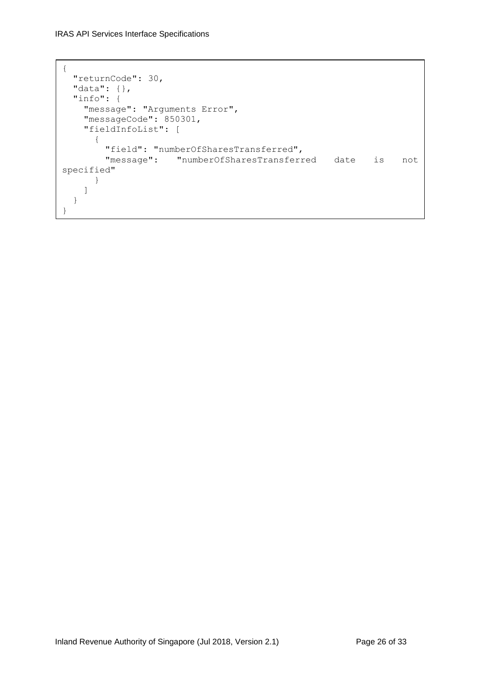```
{
  "returnCode": 30,
  "data": {},
   "info": {
     "message": "Arguments Error",
     "messageCode": 850301,
     "fieldInfoList": [
       {
         "field": "numberOfSharesTransferred",
         "message": "numberOfSharesTransferred date is not 
specified"
    }
     ]
   }
}
```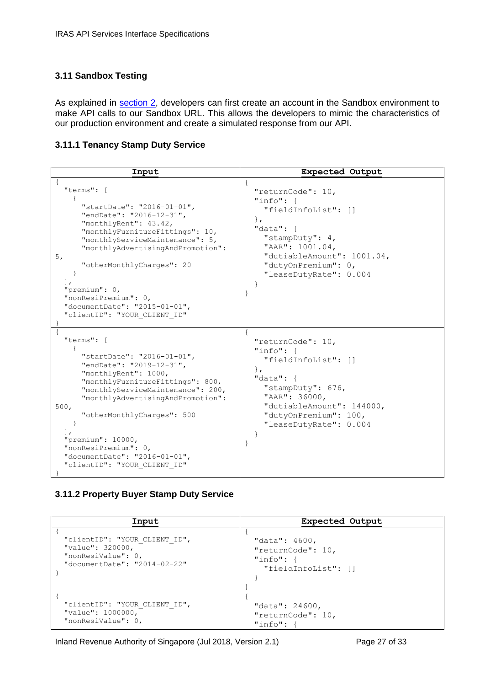#### <span id="page-26-0"></span>**3.11 Sandbox Testing**

As explained in section 2, developers can first create an account in the Sandbox environment to make API calls to our Sandbox URL. This allows the developers to mimic the characteristics of our production environment and create a simulated response from our API.

#### <span id="page-26-1"></span>**3.11.1 Tenancy Stamp Duty Service**

| Input                                                                                                                                                                                                                                                                                                                                                                                   | <b>Expected Output</b>                                                                                                                                                                                                      |
|-----------------------------------------------------------------------------------------------------------------------------------------------------------------------------------------------------------------------------------------------------------------------------------------------------------------------------------------------------------------------------------------|-----------------------------------------------------------------------------------------------------------------------------------------------------------------------------------------------------------------------------|
| "terms": [<br>"startDate": "2016-01-01",<br>"endDate": "2016-12-31",<br>"monthlyRent": 43.42,<br>"monthlyFurnitureFittings": 10,<br>"monthlyServiceMaintenance": 5,<br>"monthlyAdvertisingAndPromotion":<br>5,<br>"otherMonthlyCharges": 20<br>$\cdot$<br>"premium": 0,<br>"nonResiPremium": 0,<br>"documentDate": "2015-01-01",<br>"clientID": "YOUR CLIENT ID"                        | $\left\{ \right.$<br>"returnCode": 10,<br>$"info":$ {<br>"fieldInfoList": []<br>$\}$ ,<br>"data": $\{$<br>"stampDuty": 4,<br>"AAR": 1001.04,<br>"dutiableAmount": 1001.04,<br>"dutyOnPremium": 0,<br>"leaseDutyRate": 0.004 |
| "terms": [<br>"startDate": "2016-01-01",<br>"endDate": "2019-12-31",<br>"monthlyRent": 1000,<br>"monthlyFurnitureFittings": 800,<br>"monthlyServiceMaintenance": 200,<br>"monthlyAdvertisingAndPromotion":<br>500 <sub>r</sub><br>"otherMonthlyCharges": 500<br>$\perp$ ,<br>"premium": 10000,<br>"nonResiPremium": 0,<br>"documentDate": "2016-01-01",<br>"clientID": "YOUR CLIENT ID" | $\mathcal{L}$<br>"returnCode": 10,<br>$"info":$ {<br>"fieldInfoList": []<br>$\}$ ,<br>"data": $\{$<br>"stampDuty": 676,<br>"AAR": 36000,<br>"dutiableAmount": 144000,<br>"dutyOnPremium": 100,<br>"leaseDutyRate": 0.004    |

#### <span id="page-26-2"></span>**3.11.2 Property Buyer Stamp Duty Service**

| Input                         | Expected Output     |
|-------------------------------|---------------------|
| "clientID": "YOUR CLIENT ID", | "data": $4600,$     |
| "value": 320000,              | "returnCode": 10,   |
| "nonResiValue": 0,            | "info": f           |
| "documentDate": "2014-02-22"  | "fieldInfoList": [] |
| "clientID": "YOUR CLIENT ID", | "data": 24600,      |
| "value": 1000000,             | "returnCode": 10,   |
| "nonResiValue": 0,            | "info":             |

Inland Revenue Authority of Singapore (Jul 2018, Version 2.1) Page 27 of 33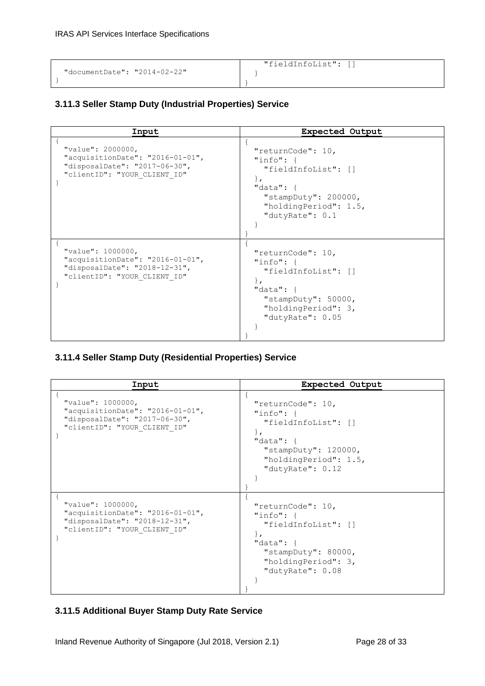|                              | "fieldInfoList": [] |
|------------------------------|---------------------|
| "documentDate": "2014-02-22" |                     |
|                              |                     |

# <span id="page-27-0"></span>**3.11.3 Seller Stamp Duty (Industrial Properties) Service**

| Input                                                                                                                       | <b>Expected Output</b>                                                                                                                                   |
|-----------------------------------------------------------------------------------------------------------------------------|----------------------------------------------------------------------------------------------------------------------------------------------------------|
| "value": 2000000,<br>"acquisitionDate": "2016-01-01",<br>"disposalDate": "2017-06-30",<br>"clientID": "YOUR CLIENT ID"      | "returnCode": 10,<br>"info": f<br>"fieldInfoList": []<br>$\}$ ,<br>"data": $\{$<br>"stampDuty": $200000$ ,<br>"holdingPeriod": 1.5,<br>"dutyRate": $0.1$ |
| "value": 1000000,<br>" $acquistitionDate" : "2016-01-01",$<br>"disposalDate": "2018-12-31",<br>"clientID": "YOUR CLIENT ID" | "returnCode": 10,<br>"info": $\{$<br>"fieldInfoList": []<br>$\}$ ,<br>"data": $\{$<br>"stampDuty": $50000$ ,<br>"holdingPeriod": 3,<br>"dutyRate": 0.05  |

#### <span id="page-27-1"></span>**3.11.4 Seller Stamp Duty (Residential Properties) Service**

| Input                                                                                                                       | <b>Expected Output</b>                                                                                                                                           |
|-----------------------------------------------------------------------------------------------------------------------------|------------------------------------------------------------------------------------------------------------------------------------------------------------------|
| "value": 1000000,<br>" $acquistitionDate" : "2016-01-01",$<br>"disposalDate": "2017-06-30",<br>"clientID": "YOUR CLIENT ID" | "returnCode": 10,<br>"info": $\{$<br>"fieldInfoList": []<br>$\mathbf{L}$<br>"data": $\{$<br>"stampDuty": $120000$ ,<br>"holdingPeriod": 1.5,<br>"dutyRate": 0.12 |
| "value": 1000000,<br>"acquisitionDate": "2016-01-01",<br>"disposalDate": "2018-12-31",<br>"clientID": "YOUR CLIENT ID"      | "returnCode": 10,<br>"info": $\{$<br>"fieldInfoList": []<br>$\mathbf{r}$<br>"data": $\{$<br>"stampDuty": $80000$ ,<br>"holdingPeriod": 3,<br>"dutyRate": 0.08    |

#### <span id="page-27-2"></span>**3.11.5 Additional Buyer Stamp Duty Rate Service**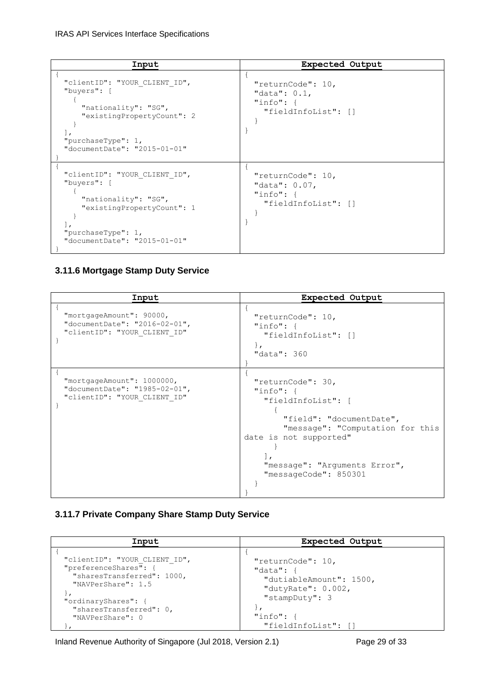#### IRAS API Services Interface Specifications

| Input                                                                                                                                                      | Expected Output                                                                |
|------------------------------------------------------------------------------------------------------------------------------------------------------------|--------------------------------------------------------------------------------|
| "clientID": "YOUR CLIENT ID",<br>"buyers": [<br>"nationality": "SG",<br>"existingPropertyCount": 2<br>"purchaseType": $1,$<br>"documentDate": "2015-01-01" | "returnCode": 10,<br>"data": $0.1$ ,<br>"info": $\{$<br>"fieldInfoList": []    |
| "clientID": "YOUR CLIENT ID",<br>"buyers": [<br>"nationality": "SG",<br>"existingPropertyCount": 1<br>"purchaseType": $1,$<br>"documentDate": "2015-01-01" | "returnCode": $10,$<br>"data": $0.07$ ,<br>"info": $\{$<br>"fieldInfoList": [] |

### <span id="page-28-0"></span>**3.11.6 Mortgage Stamp Duty Service**

| Input                                                                                       | <b>Expected Output</b>                                                                                                                                                                                                      |
|---------------------------------------------------------------------------------------------|-----------------------------------------------------------------------------------------------------------------------------------------------------------------------------------------------------------------------------|
| "mortgageAmount": 90000,<br>"documentDate": "2016-02-01",<br>"clientID": "YOUR CLIENT ID"   | "returnCode": 10,<br>"info": $\{$<br>"fieldInfoList": []<br>$\mathbf{r}$<br>"data": $360$                                                                                                                                   |
| "mortgageAmount": 1000000,<br>"documentDate": "1985-02-01",<br>"clientID": "YOUR CLIENT ID" | "returnCode": 30,<br>"info": $\{$<br>"fieldInfoList": [<br>"field": "documentDate",<br>"message": "Computation for this<br>date is not supported"<br>$\mathbf{r}$<br>"message": "Arguments Error",<br>"messageCode": 850301 |

# <span id="page-28-1"></span>**3.11.7 Private Company Share Stamp Duty Service**

| Input                         | Expected Output         |
|-------------------------------|-------------------------|
| "clientID": "YOUR CLIENT ID", | "returnCode": 10,       |
| "preferenceShares": {         | "data": $\{$            |
| "sharesTransferred": 1000,    | "dutiableAmount": 1500, |
| "NAVPerShare": 1.5            | "dutyRate": $0.002$ ,   |
| "ordinaryShares": {           | "stampDuty": 3          |
| "sharesTransferred": 0,       | "info": f               |
| "NAVPerShare": 0              | "fieldInfoList": []     |

Inland Revenue Authority of Singapore (Jul 2018, Version 2.1) Page 29 of 33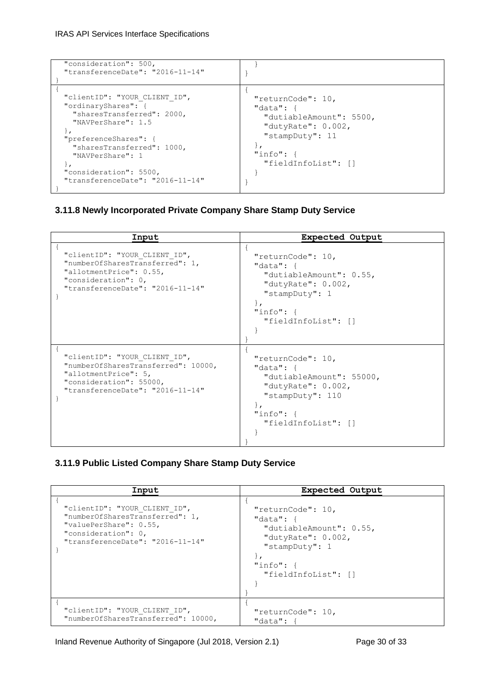| "consideration": 500,<br>"transferenceDate": "2016-11-14"                                                                                                                                                                                                         |                                                                                                                                              |
|-------------------------------------------------------------------------------------------------------------------------------------------------------------------------------------------------------------------------------------------------------------------|----------------------------------------------------------------------------------------------------------------------------------------------|
| "clientID": "YOUR CLIENT ID",<br>"ordinaryShares": {<br>"sharesTransferred": 2000,<br>"NAVPerShare": 1.5<br>"preferenceShares": {<br>"sharesTransferred": 1000,<br>"NAVPerShare": 1<br>$\mathbf{r}$<br>"consideration": 5500,<br>"transferenceDate": "2016-11-14" | "returnCode": 10,<br>"data": $\{$<br>"dutiableAmount": 5500,<br>"dutyRate": $0.002$ ,<br>"stampDuty": 11<br>"info": f<br>"fieldInfoList": [] |

# <span id="page-29-0"></span>**3.11.8 Newly Incorporated Private Company Share Stamp Duty Service**

| Input                                                                                                                                                       | <b>Expected Output</b>                                                                                                                                        |
|-------------------------------------------------------------------------------------------------------------------------------------------------------------|---------------------------------------------------------------------------------------------------------------------------------------------------------------|
| "clientID": "YOUR CLIENT ID",<br>"numberOfSharesTransferred": 1,<br>"allotmentPrice": 0.55,<br>"consideration": 0,<br>"transferenceDate": "2016-11-14"      | "returnCode": 10,<br>"data": $\{$<br>"dutiableAmount": 0.55,<br>"dutyRate": $0.002$ ,<br>"stampDuty": 1<br>$\}$ ,<br>"info": $\{$<br>"fieldInfoList": []      |
| "clientID": "YOUR CLIENT ID",<br>"numberOfSharesTransferred": 10000,<br>"allotmentPrice": 5,<br>"consideration": 55000,<br>"transferenceDate": "2016-11-14" | "returnCode": 10,<br>"data": $\{$<br>"dutiableAmount": 55000,<br>"dutyRate": $0.002$ ,<br>"stampDuty": $110$<br>$\}$ ,<br>"info": $\{$<br>"fieldInfoList": [] |

# <span id="page-29-1"></span>**3.11.9 Public Listed Company Share Stamp Duty Service**

| Input                                                                                                                                                 | <b>Expected Output</b>                                                                                                                         |
|-------------------------------------------------------------------------------------------------------------------------------------------------------|------------------------------------------------------------------------------------------------------------------------------------------------|
| "clientID": "YOUR CLIENT ID",<br>"numberOfSharesTransferred": 1,<br>"valuePerShare": 0.55,<br>"consideration": 0,<br>"transferenceDate": "2016-11-14" | "returnCode": 10,<br>"data": $\{$<br>"dutiableAmount": 0.55,<br>"dutyRate": $0.002$ ,<br>"stampDuty": 1<br>"info": $\{$<br>"fieldInfoList": [] |
| "clientID": "YOUR CLIENT ID",<br>"numberOfSharesTransferred": 10000,                                                                                  | "returnCode": 10,<br>"data": {                                                                                                                 |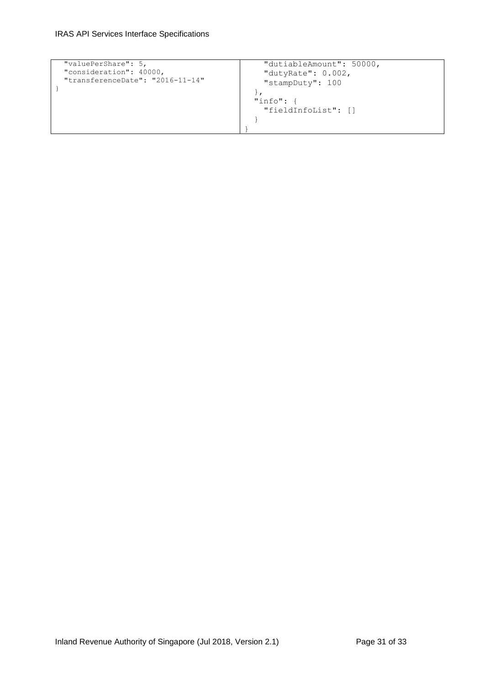```
 "valuePerShare": 5,
 "consideration": 40000,
 "transferenceDate": "2016-11-14"
}
                                              "dutiableAmount": 50000,
                                          "dutyRate": 0.002,
                                          "stampDuty": 100
                                            },
                                            "info": {
                                              "fieldInfoList": []
                                            }
                                          }
```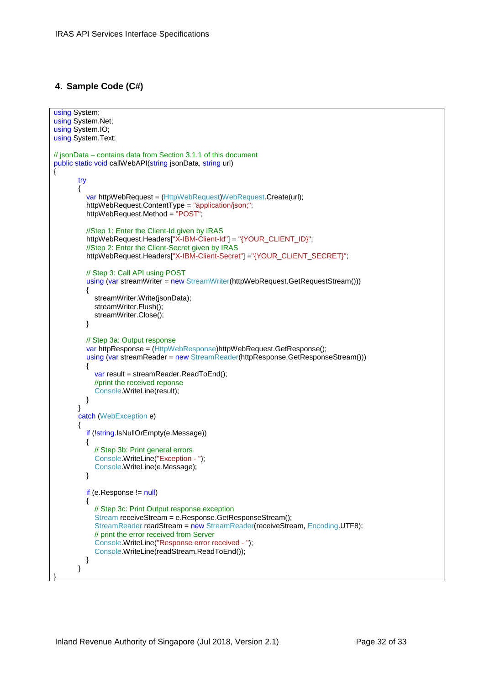# <span id="page-31-0"></span>**4. Sample Code (C#)**

```
using System:
using System.Net;
using System.IO;
using System.Text;
// jsonData – contains data from Section 3.1.1 of this document
public static void callWebAPI(string jsonData, string url)
{
        try
        {
          var httpWebRequest = (HttpWebRequest)WebRequest.Create(url);
          httpWebRequest.ContentType = "application/json;";
          httpWebRequest.Method = "POST";
          //Step 1: Enter the Client-Id given by IRAS
         httpWebRequest.Headers["X-IBM-Client-Id"] = "{YOUR_CLIENT_ID}";
          //Step 2: Enter the Client-Secret given by IRAS
         httpWebRequest.Headers["X-IBM-Client-Secret"] ="{YOUR_CLIENT_SECRET}";
          // Step 3: Call API using POST
         using (var streamWriter = new StreamWriter(httpWebRequest.GetRequestStream()))
\{ streamWriter.Write(jsonData);
           streamWriter.Flush();
            streamWriter.Close();
          }
          // Step 3a: Output response
          var httpResponse = (HttpWebResponse)httpWebRequest.GetResponse();
          using (var streamReader = new StreamReader(httpResponse.GetResponseStream()))
\{ var result = streamReader.ReadToEnd();
            //print the received reponse
             Console.WriteLine(result);
 }
        }
        catch (WebException e)
        {
          if (!string.IsNullOrEmpty(e.Message))
          {
            // Step 3b: Print general errors 
            Console.WriteLine("Exception - ");
         Console.WriteLine(e.Message);
 }
         if (e.Response != null)
          {
            // Step 3c: Print Output response exception
             Stream receiveStream = e.Response.GetResponseStream();
             StreamReader readStream = new StreamReader(receiveStream, Encoding.UTF8);
            // print the error received from Server 
             Console.WriteLine("Response error received - ");
             Console.WriteLine(readStream.ReadToEnd());
          }
        }
}
```